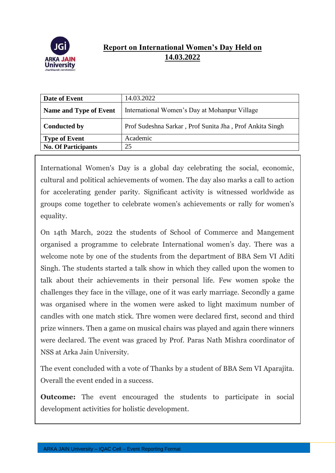

## **Report on International Women's Day Held on 14.03.2022**

| Date of Event                 | 14.03.2022                                               |
|-------------------------------|----------------------------------------------------------|
| <b>Name and Type of Event</b> | International Women's Day at Mohanpur Village            |
| <b>Conducted by</b>           | Prof Sudeshna Sarkar, Prof Sunita Jha, Prof Ankita Singh |
| <b>Type of Event</b>          | Academic                                                 |
| <b>No. Of Participants</b>    | 25                                                       |

International Women's Day is a global day celebrating the social, economic, cultural and political achievements of women. The day also marks a call to action for accelerating gender parity. Significant activity is witnessed worldwide as groups come together to celebrate women's achievements or rally for women's equality.

On 14th March, 2022 the students of School of Commerce and Mangement organised a programme to celebrate International women's day. There was a welcome note by one of the students from the department of BBA Sem VI Aditi Singh. The students started a talk show in which they called upon the women to talk about their achievements in their personal life. Few women spoke the challenges they face in the village, one of it was early marriage. Secondly a game was organised where in the women were asked to light maximum number of candles with one match stick. Thre women were declared first, second and third prize winners. Then a game on musical chairs was played and again there winners were declared. The event was graced by Prof. Paras Nath Mishra coordinator of NSS at Arka Jain University.

The event concluded with a vote of Thanks by a student of BBA Sem VI Aparajita. Overall the event ended in a success.

**Outcome:** The event encouraged the students to participate in social development activities for holistic development.